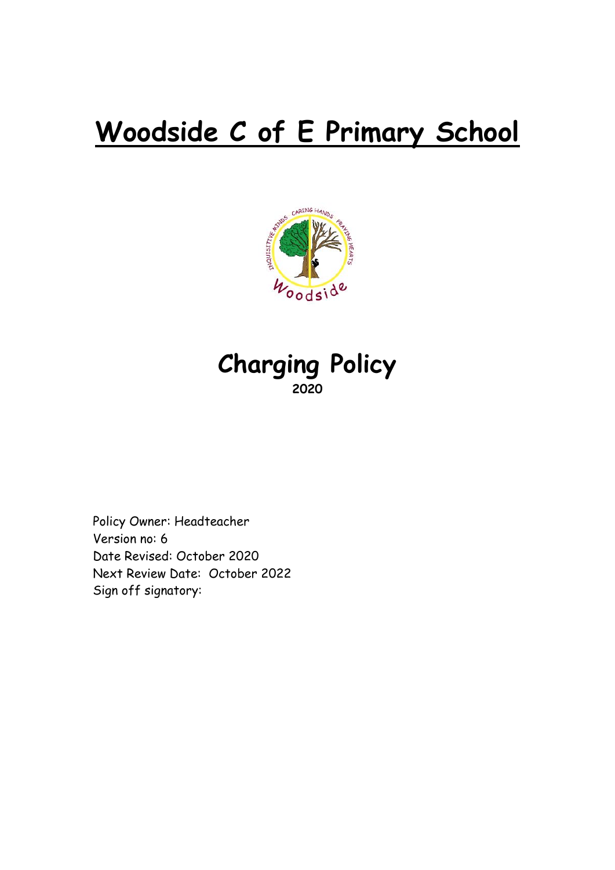# **Woodside C of E Primary School**



# **Charging Policy 2020**

Policy Owner: Headteacher Version no: 6 Date Revised: October 2020 Next Review Date: October 2022 Sign off signatory: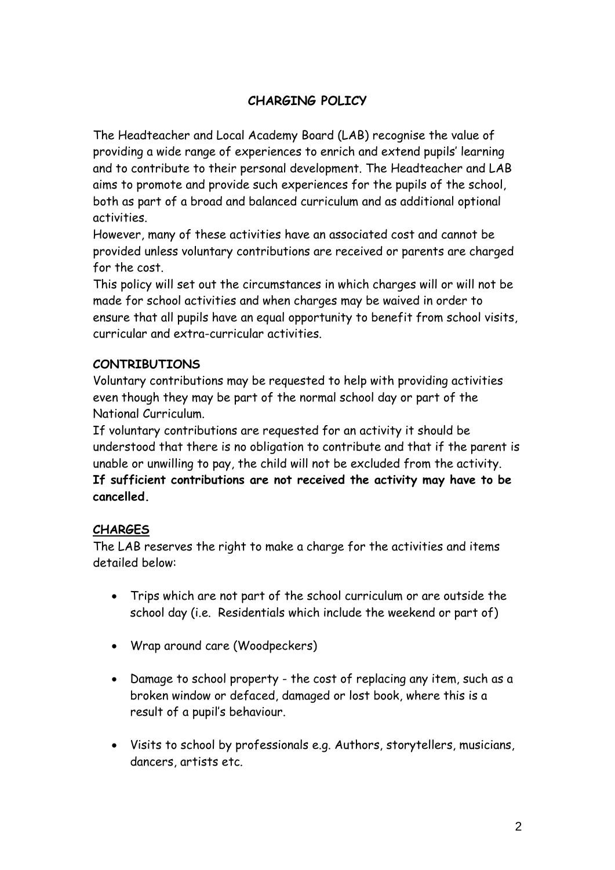## **CHARGING POLICY**

The Headteacher and Local Academy Board (LAB) recognise the value of providing a wide range of experiences to enrich and extend pupils' learning and to contribute to their personal development. The Headteacher and LAB aims to promote and provide such experiences for the pupils of the school, both as part of a broad and balanced curriculum and as additional optional activities.

However, many of these activities have an associated cost and cannot be provided unless voluntary contributions are received or parents are charged for the cost.

This policy will set out the circumstances in which charges will or will not be made for school activities and when charges may be waived in order to ensure that all pupils have an equal opportunity to benefit from school visits, curricular and extra-curricular activities.

#### **CONTRIBUTIONS**

Voluntary contributions may be requested to help with providing activities even though they may be part of the normal school day or part of the National Curriculum.

If voluntary contributions are requested for an activity it should be understood that there is no obligation to contribute and that if the parent is unable or unwilling to pay, the child will not be excluded from the activity. **If sufficient contributions are not received the activity may have to be cancelled.**

#### **CHARGES**

The LAB reserves the right to make a charge for the activities and items detailed below:

- Trips which are not part of the school curriculum or are outside the school day (i.e. Residentials which include the weekend or part of)
- Wrap around care (Woodpeckers)
- Damage to school property the cost of replacing any item, such as a broken window or defaced, damaged or lost book, where this is a result of a pupil's behaviour.
- Visits to school by professionals e.g. Authors, storytellers, musicians, dancers, artists etc.